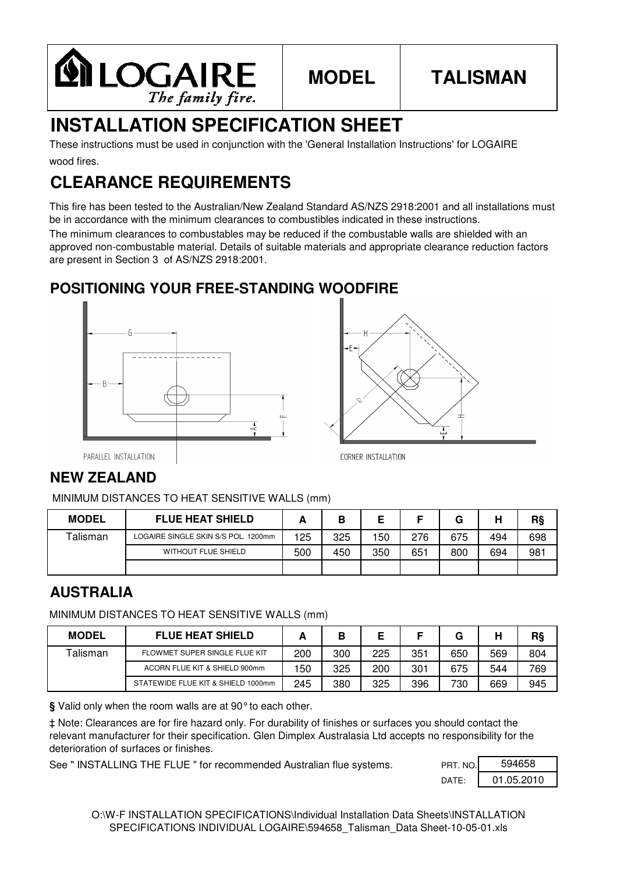

# **MODEL**

# **TALISMAN**

# **INSTALLATION SPECIFICATION SHEET**

wood fires. These instructions must be used in conjunction with the 'General Installation Instructions' for LOGAIRE

# **CLEARANCE REQUIREMENTS**

This fire has been tested to the Australian/New Zealand Standard AS/NZS 2918:2001 and all installations must be in accordance with the minimum clearances to combustibles indicated in these instructions.

The minimum clearances to combustables may be reduced if the combustable walls are shielded with an approved non-combustable material. Details of suitable materials and appropriate clearance reduction factors are present in Section 3 of AS/NZS 2918:2001.

### **POSITIONING YOUR FREE-STANDING WOODFIRE**





PARALLEL INSTALLATION

### **NEW ZEALAND**

MINIMUM DISTANCES TO HEAT SENSITIVE WALLS (mm)

| <b>MODEL</b> | <b>FLUE HEAT SHIELD</b>             |     | В   |     |     | G   | Н   | R§  |
|--------------|-------------------------------------|-----|-----|-----|-----|-----|-----|-----|
| Talisman     | LOGAIRE SINGLE SKIN S/S POL. 1200mm | 125 | 325 | 150 | 276 | 675 | 494 | 698 |
|              | <b>WITHOUT FLUE SHIELD</b>          | 500 | 450 | 350 | 651 | 800 | 694 | 981 |
|              |                                     |     |     |     |     |     |     |     |

#### **AUSTRALIA**

MINIMUM DISTANCES TO HEAT SENSITIVE WALLS (mm)

| <b>MODEL</b> | <b>FLUE HEAT SHIELD</b>            |     | В   |     |     | G   | Н   | R§  |
|--------------|------------------------------------|-----|-----|-----|-----|-----|-----|-----|
| Talisman     | FLOWMET SUPER SINGLE FLUE KIT      | 200 | 300 | 225 | 351 | 650 | 569 | 804 |
|              | ACORN FLUE KIT & SHIELD 900mm      | 50  | 325 | 200 | 301 | 675 | 544 | 769 |
|              | STATEWIDE FLUE KIT & SHIELD 1000mm | 245 | 380 | 325 | 396 | 730 | 669 | 945 |

**§** Valid only when the room walls are at 90°to each other.

‡ Note: Clearances are for fire hazard only. For durability of finishes or surfaces you should contact the relevant manufacturer for their specification. Glen Dimplex Australasia Ltd accepts no responsibility for the deterioration of surfaces or finishes.

See " INSTALLING THE FLUE " for recommended Australian flue systems.

| PRT. NO.        | 594658     |
|-----------------|------------|
| $\mathsf{DATF}$ | 01.05.2010 |

O:\W-F INSTALLATION SPECIFICATIONS\Individual Installation Data Sheets\INSTALLATION SPECIFICATIONS INDIVIDUAL LOGAIRE\594658\_Talisman\_Data Sheet-10-05-01.xls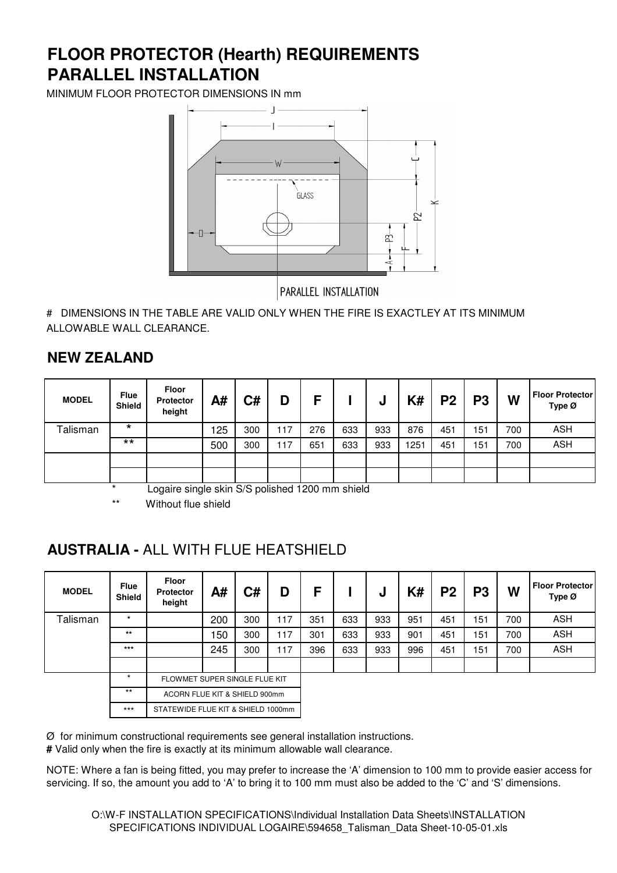# **PARALLEL INSTALLATION FLOOR PROTECTOR (Hearth) REQUIREMENTS**

MINIMUM FLOOR PROTECTOR DIMENSIONS IN mm



PARALLEL INSTALLATION

# DIMENSIONS IN THE TABLE ARE VALID ONLY WHEN THE FIRE IS EXACTLEY AT ITS MINIMUM ALLOWABLE WALL CLEARANCE.

#### **NEW ZEALAND**

| <b>MODEL</b> | <b>Flue</b><br>Shield | <b>Floor</b><br><b>Protector</b><br>height | A#  | C#  | D   | Е   |     | u   | K#   | P <sub>2</sub> | P <sub>3</sub> | W   | <b>Floor Protector</b><br>Type Ø |
|--------------|-----------------------|--------------------------------------------|-----|-----|-----|-----|-----|-----|------|----------------|----------------|-----|----------------------------------|
| Talisman     | $\star$               |                                            | 125 | 300 | 117 | 276 | 633 | 933 | 876  | 451            | 151            | 700 | <b>ASH</b>                       |
|              | $***$                 |                                            | 500 | 300 | 117 | 651 | 633 | 933 | 1251 | 451            | 151            | 700 | <b>ASH</b>                       |
|              |                       |                                            |     |     |     |     |     |     |      |                |                |     |                                  |
|              |                       |                                            |     |     |     |     |     |     |      |                |                |     |                                  |

Logaire single skin S/S polished 1200 mm shield

Without flue shield

#### **AUSTRALIA -** ALL WITH FLUE HEATSHIELD

| <b>MODEL</b> | <b>Flue</b><br><b>Shield</b> | <b>Floor</b><br><b>Protector</b><br>height | A#  | C#  | D   | F   |     | J   | K#  | P <sub>2</sub> | P3  | W   | <b>Floor Protector</b><br>Type Ø |
|--------------|------------------------------|--------------------------------------------|-----|-----|-----|-----|-----|-----|-----|----------------|-----|-----|----------------------------------|
| Talisman     | $\star$                      |                                            | 200 | 300 | 117 | 351 | 633 | 933 | 951 | 451            | 151 | 700 | <b>ASH</b>                       |
|              | $***$                        |                                            | 150 | 300 | 117 | 301 | 633 | 933 | 901 | 451            | 151 | 700 | <b>ASH</b>                       |
|              | $***$                        |                                            | 245 | 300 | 117 | 396 | 633 | 933 | 996 | 451            | 151 | 700 | <b>ASH</b>                       |
|              |                              |                                            |     |     |     |     |     |     |     |                |     |     |                                  |
|              | $\star$                      | FLOWMET SUPER SINGLE FLUE KIT              |     |     |     |     |     |     |     |                |     |     |                                  |
|              | $***$                        | ACORN FLUE KIT & SHIELD 900mm              |     |     |     |     |     |     |     |                |     |     |                                  |
|              | $***$                        | STATEWIDE FLUE KIT & SHIELD 1000mm         |     |     |     |     |     |     |     |                |     |     |                                  |

 $Ø$  for minimum constructional requirements see general installation instructions.

**#** Valid only when the fire is exactly at its minimum allowable wall clearance.

NOTE: Where a fan is being fitted, you may prefer to increase the 'A' dimension to 100 mm to provide easier access for servicing. If so, the amount you add to 'A' to bring it to 100 mm must also be added to the 'C' and 'S' dimensions.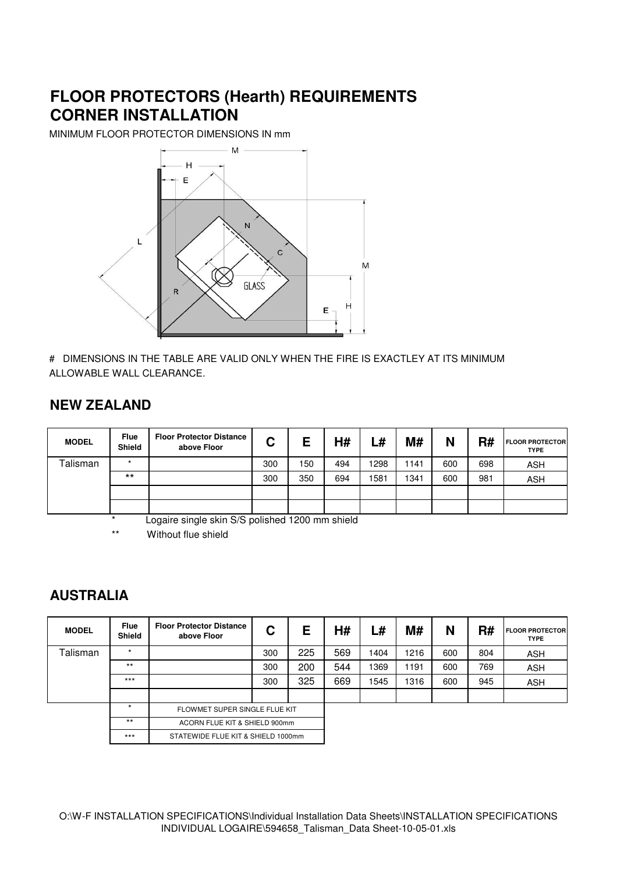# **FLOOR PROTECTORS (Hearth) REQUIREMENTS CORNER INSTALLATION**

MINIMUM FLOOR PROTECTOR DIMENSIONS IN mm



# DIMENSIONS IN THE TABLE ARE VALID ONLY WHEN THE FIRE IS EXACTLEY AT ITS MINIMUM ALLOWABLE WALL CLEARANCE.

#### **NEW ZEALAND**

| <b>MODEL</b> | <b>Flue</b><br><b>Shield</b> | <b>Floor Protector Distance</b><br>above Floor | ◠<br>ັ |     | H#  | ∟#   | M#   | N   | R#  | <b>FLOOR PROTECTOR</b><br><b>TYPE</b> |
|--------------|------------------------------|------------------------------------------------|--------|-----|-----|------|------|-----|-----|---------------------------------------|
| Talisman     | $\star$                      |                                                | 300    | 150 | 494 | 1298 | 1141 | 600 | 698 | <b>ASH</b>                            |
|              | $***$                        |                                                | 300    | 350 | 694 | 1581 | 1341 | 600 | 981 | <b>ASH</b>                            |
|              |                              |                                                |        |     |     |      |      |     |     |                                       |
|              |                              |                                                |        |     |     |      |      |     |     |                                       |

Logaire single skin S/S polished 1200 mm shield

\*\* Without flue shield

#### **AUSTRALIA**

| <b>MODEL</b> | <b>Flue</b><br><b>Shield</b> | <b>Floor Protector Distance</b><br>above Floor | C                             | E   | H#  | L#   | M#   | N   | R#  | <b>FLOOR PROTECTOR</b><br><b>TYPE</b> |
|--------------|------------------------------|------------------------------------------------|-------------------------------|-----|-----|------|------|-----|-----|---------------------------------------|
| Talisman     | $\star$                      |                                                | 300                           | 225 | 569 | 1404 | 1216 | 600 | 804 | <b>ASH</b>                            |
|              | $***$                        |                                                | 300                           | 200 | 544 | 1369 | 1191 | 600 | 769 | <b>ASH</b>                            |
|              | $***$                        |                                                | 300                           | 325 | 669 | 1545 | 1316 | 600 | 945 | <b>ASH</b>                            |
|              |                              |                                                |                               |     |     |      |      |     |     |                                       |
|              | $\star$                      | FLOWMET SUPER SINGLE FLUE KIT                  |                               |     |     |      |      |     |     |                                       |
|              | $**$                         |                                                | ACORN FLUE KIT & SHIELD 900mm |     |     |      |      |     |     |                                       |
|              | $***$                        | STATEWIDE FLUE KIT & SHIELD 1000mm             |                               |     |     |      |      |     |     |                                       |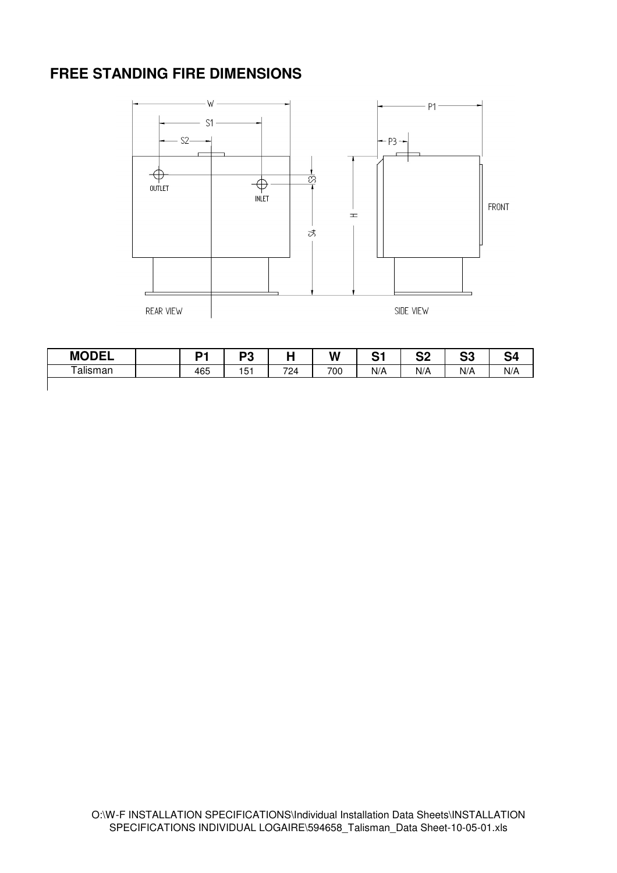#### **FREE STANDING FIRE DIMENSIONS**



| <b>MODEL</b> | D4  | nn<br>- ت |     | W   | C-4<br>ັ | nn.<br>◡▵ | n n<br>vu | J۶  |
|--------------|-----|-----------|-----|-----|----------|-----------|-----------|-----|
| Talisman     | 465 | 151       | 724 | 700 | N/A      | N/A       | N/A       | N/A |
|              |     |           |     |     |          |           |           |     |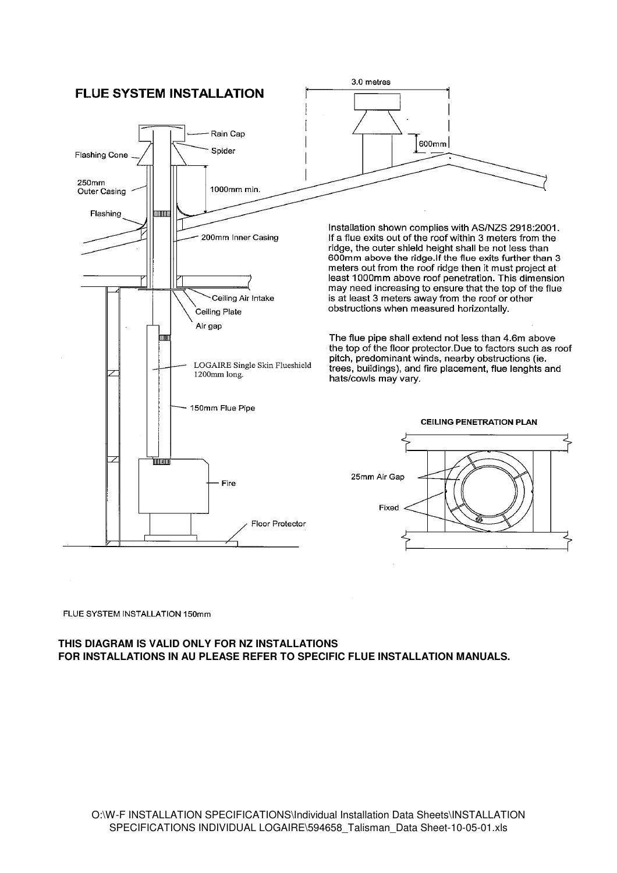

FLUE SYSTEM INSTALLATION 150mm

#### **THIS DIAGRAM IS VALID ONLY FOR NZ INSTALLATIONS FOR INSTALLATIONS IN AU PLEASE REFER TO SPECIFIC FLUE INSTALLATION MANUALS.**